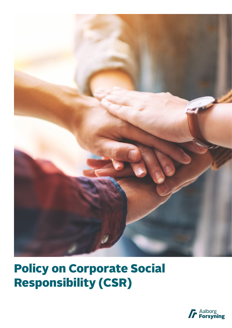

## Policy on Corporate Social Responsibility (CSR)

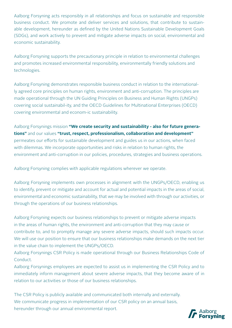Aalborg Forsyning acts responsibly in all relationships and focus on sustainable and responsible business conduct. We promote and deliver services and solutions, that contribute to sustainable development, hereunder as defined by the United Nations Sustainable Development Goals (SDGs), and work actively to prevent and mitigate adverse impacts on social, environmental and economic sustainability.

Aalborg Forsyning supports the precautionary principle in relation to environmental challenges and promotes increased environmental responsibility, environmentally friendly solutions and technologies.

Aalborg Forsyning demonstrates responsible business conduct in relation to the internationally agreed core principles on human rights, environment and anti-corruption. The principles are made operational through the UN Guiding Principles on Business and Human Rights (UNGPs) covering social sustainabil-ity, and the OECD Guidelines for Multinational Enterprises (OECD) covering environmental and econom-ic sustainability.

Aalborg Forsynings mission **"We create security and sustainability - also for future generations"** and our values **"trust, respect, professionalism, collaboration and development"** permeates our efforts for sustainable development and guides us in our actions, when faced with dilemmas. We incorporate opportunities and risks in relation to human rights, the environment and anti-corruption in our policies, procedures, strategies and business operations.

Aalborg Forsyning complies with applicable regulations wherever we operate.

Aalborg Forsyning implements own processes in alignment with the UNGPs/OECD, enabling us to identify, prevent or mitigate and account for actual and potential impacts in the areas of social, environmental and economic sustainability, that we may be involved with through our activities, or through the operations of our business relationships.

Aalborg Forsyning expects our business relationships to prevent or mitigate adverse impacts in the areas of human rights, the environment and anti-corruption that they may cause or contribute to, and to promptly manage any severe adverse impacts, should such impacts occur. We will use our position to ensure that our business relationships make demands on the next tier in the value chain to implement the UNGPs/OECD.

Aalborg Forsynings CSR Policy is made operational through our Business Relationships Code of Conduct.

Aalborg Forsynings employees are expected to assist us in implementing the CSR Policy and to immediately inform management about severe adverse impacts, that they become aware of in relation to our activities or those of our business relationships.

The CSR Policy is publicly available and communicated both internally and externally. We communicate progress in implementation of our CSR policy on an annual basis, hereunder through our annual environmental report.